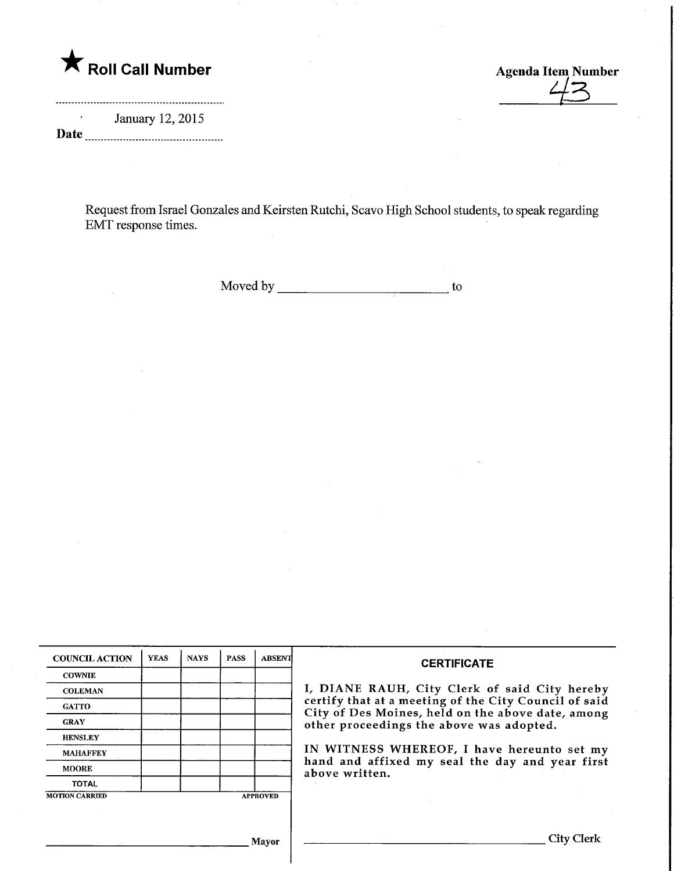

January 12,2015 Date

 $\frac{2}{3}$ 

Request from Israel Gonzales and Keirsten Rutchi, Scavo High School students, to speak regarding EMT response times.

Moved by to

| <b>COUNCIL ACTION</b> | <b>YEAS</b> | <b>NAYS</b> | <b>PASS</b> | <b>ABSENT</b>   | <b>CERTIFICATE</b><br>I, DIANE RAUH, City Clerk of said City hereby<br>certify that at a meeting of the City Council of said<br>City of Des Moines, held on the above date, among<br>other proceedings the above was adopted.<br>IN WITNESS WHEREOF, I have hereunto set my<br>hand and affixed my seal the day and year first<br>above written. |
|-----------------------|-------------|-------------|-------------|-----------------|--------------------------------------------------------------------------------------------------------------------------------------------------------------------------------------------------------------------------------------------------------------------------------------------------------------------------------------------------|
| <b>COWNIE</b>         |             |             |             |                 |                                                                                                                                                                                                                                                                                                                                                  |
| <b>COLEMAN</b>        |             |             |             |                 |                                                                                                                                                                                                                                                                                                                                                  |
| <b>GATTO</b>          |             |             |             |                 |                                                                                                                                                                                                                                                                                                                                                  |
| <b>GRAY</b>           |             |             |             |                 |                                                                                                                                                                                                                                                                                                                                                  |
| <b>HENSLEY</b>        |             |             |             |                 |                                                                                                                                                                                                                                                                                                                                                  |
| <b>MAHAFFEY</b>       |             |             |             |                 |                                                                                                                                                                                                                                                                                                                                                  |
| <b>MOORE</b>          |             |             |             |                 |                                                                                                                                                                                                                                                                                                                                                  |
| <b>TOTAL</b>          |             |             |             |                 |                                                                                                                                                                                                                                                                                                                                                  |
| <b>MOTION CARRIED</b> |             |             |             | <b>APPROVED</b> |                                                                                                                                                                                                                                                                                                                                                  |
|                       |             |             |             |                 |                                                                                                                                                                                                                                                                                                                                                  |
|                       |             |             |             |                 |                                                                                                                                                                                                                                                                                                                                                  |
| <b>Mayor</b>          |             |             |             |                 | City Clerk                                                                                                                                                                                                                                                                                                                                       |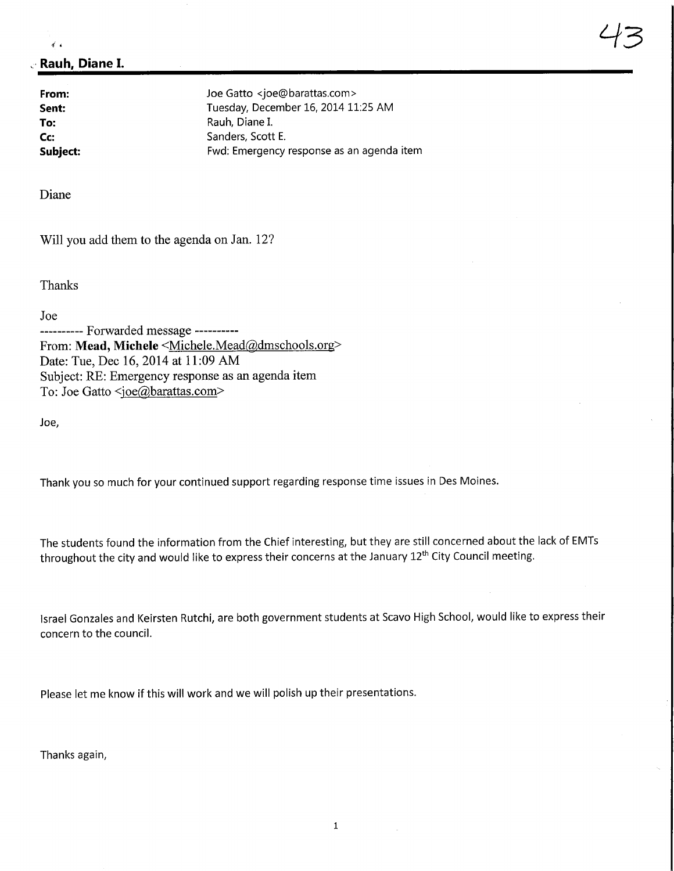## Rauh, Diane I.

 $\vec{r}$ 

From: Joe Gatto <joe@barattas.com><br>
Sent: Tuesday. December 16, 2014 11 Tuesday, December 16, 2014 11:25 AM To: Rauh, Diane I.<br>
Communication Contract Contract Contract Contract Contract Contract Contract Contract Contract Contract Contra<br>
Sanders, Scott Co: Committee Controllering Sanders, Scott E.<br>
Subject: Committee Controllering Fwd: Emergency Fwd: Emergency response as an agenda item

Diane

Will you add them to the agenda on Jan. 12?

Thanks

Joe

---------- Forwarded message ----------From: Mead, Michele <Michele.Mead@dmschools.org> Date: Tue, Dec 16, 2014 at 11:09 AM Subject: RE: Emergency response as an agenda item To: Joe Gatto <ioe@barattas.com>

Joe,

Thank you so much for your continued support regarding response time issues in Des Moines.

The students found the information from the Chief interesting, but they are still concerned about the lack of EMTs throughout the city and would like to express their concerns at the January 12<sup>th</sup> City Council meeting.

Israel Gonzales and Keirsten Rutchi, are both government students at Scavo High School, would like to express their concern to the council.

Please let me know if this will work and we will polish up their presentations.

Thanks again,